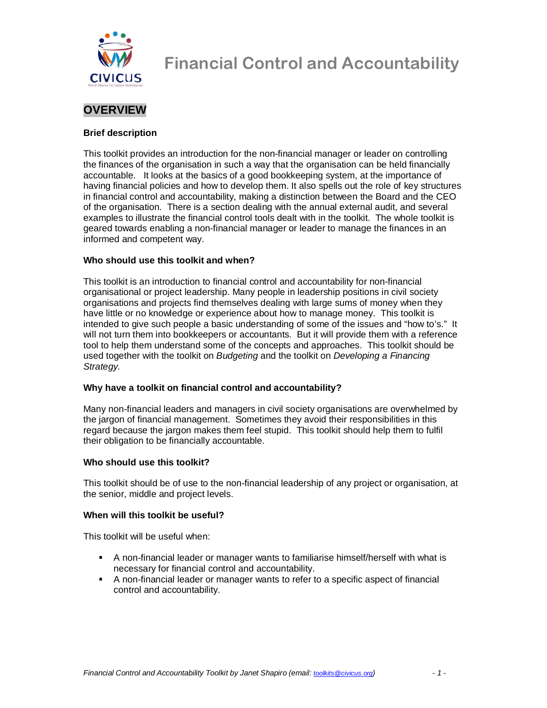

## **OVERVIEW**

#### **Brief description**

This toolkit provides an introduction for the non-financial manager or leader on controlling the finances of the organisation in such a way that the organisation can be held financially accountable. It looks at the basics of a good bookkeeping system, at the importance of having financial policies and how to develop them. It also spells out the role of key structures in financial control and accountability, making a distinction between the Board and the CEO of the organisation. There is a section dealing with the annual external audit, and several examples to illustrate the financial control tools dealt with in the toolkit. The whole toolkit is geared towards enabling a non-financial manager or leader to manage the finances in an informed and competent way.

#### **Who should use this toolkit and when?**

This toolkit is an introduction to financial control and accountability for non-financial organisational or project leadership. Many people in leadership positions in civil society organisations and projects find themselves dealing with large sums of money when they have little or no knowledge or experience about how to manage money. This toolkit is intended to give such people a basic understanding of some of the issues and "how to's." It will not turn them into bookkeepers or accountants. But it will provide them with a reference tool to help them understand some of the concepts and approaches. This toolkit should be used together with the toolkit on Budgeting and the toolkit on Developing a Financing Strategy.

#### **Why have a toolkit on financial control and accountability?**

Many non-financial leaders and managers in civil society organisations are overwhelmed by the jargon of financial management. Sometimes they avoid their responsibilities in this regard because the jargon makes them feel stupid. This toolkit should help them to fulfil their obligation to be financially accountable.

#### **Who should use this toolkit?**

This toolkit should be of use to the non-financial leadership of any project or organisation, at the senior, middle and project levels.

#### **When will this toolkit be useful?**

This toolkit will be useful when:

- A non-financial leader or manager wants to familiarise himself/herself with what is necessary for financial control and accountability.
- A non-financial leader or manager wants to refer to a specific aspect of financial control and accountability.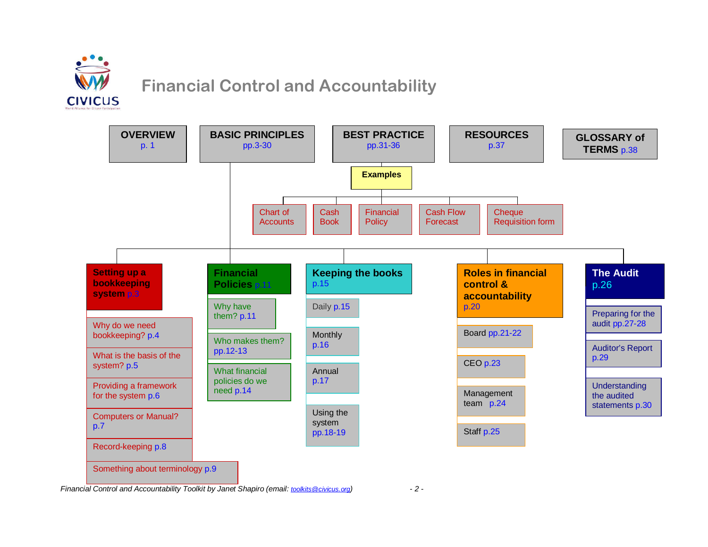



Financial Control and Accountability Toolkit by Janet Shapiro (email: toolkits@civicus.org) - 2 -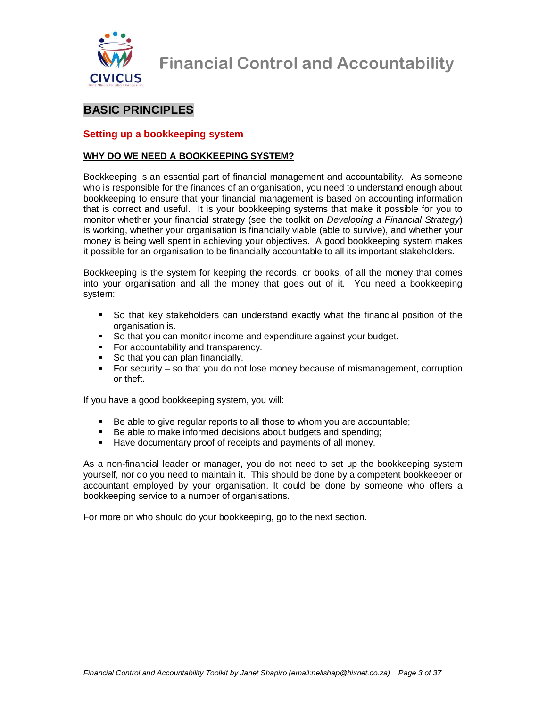

## **BASIC PRINCIPLES**

#### **Setting up a bookkeeping system**

#### **WHY DO WE NEED A BOOKKEEPING SYSTEM?**

Bookkeeping is an essential part of financial management and accountability. As someone who is responsible for the finances of an organisation, you need to understand enough about bookkeeping to ensure that your financial management is based on accounting information that is correct and useful. It is your bookkeeping systems that make it possible for you to monitor whether your financial strategy (see the toolkit on Developing a Financial Strategy) is working, whether your organisation is financially viable (able to survive), and whether your money is being well spent in achieving your objectives. A good bookkeeping system makes it possible for an organisation to be financially accountable to all its important stakeholders.

Bookkeeping is the system for keeping the records, or books, of all the money that comes into your organisation and all the money that goes out of it. You need a bookkeeping system:

- So that key stakeholders can understand exactly what the financial position of the organisation is.
- So that you can monitor income and expenditure against your budget.
- For accountability and transparency.
- So that you can plan financially.
- For security so that you do not lose money because of mismanagement, corruption or theft.

If you have a good bookkeeping system, you will:

- Be able to give regular reports to all those to whom you are accountable;
- Be able to make informed decisions about budgets and spending;
- Have documentary proof of receipts and payments of all money.

As a non-financial leader or manager, you do not need to set up the bookkeeping system yourself, nor do you need to maintain it. This should be done by a competent bookkeeper or accountant employed by your organisation. It could be done by someone who offers a bookkeeping service to a number of organisations.

For more on who should do your bookkeeping, go to the next section.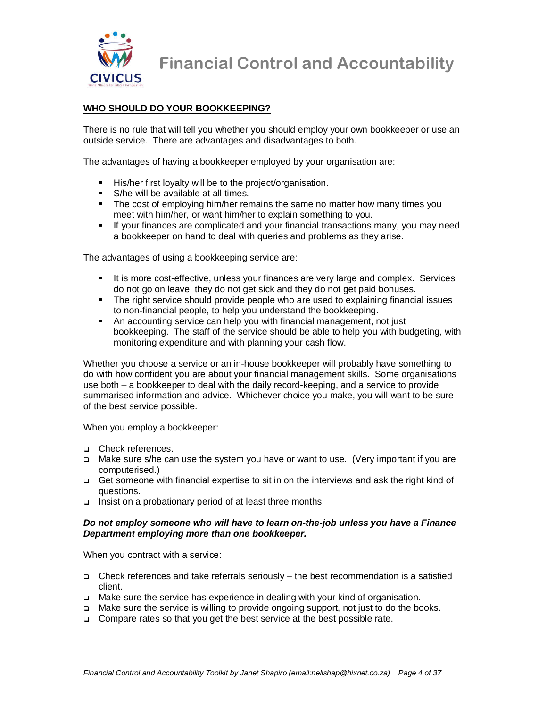

#### **WHO SHOULD DO YOUR BOOKKEEPING?**

There is no rule that will tell you whether you should employ your own bookkeeper or use an outside service. There are advantages and disadvantages to both.

The advantages of having a bookkeeper employed by your organisation are:

- **His/her first loyalty will be to the project/organisation.**
- S/he will be available at all times.
- The cost of employing him/her remains the same no matter how many times you meet with him/her, or want him/her to explain something to you.
- If your finances are complicated and your financial transactions many, you may need a bookkeeper on hand to deal with queries and problems as they arise.

The advantages of using a bookkeeping service are:

- It is more cost-effective, unless your finances are very large and complex. Services do not go on leave, they do not get sick and they do not get paid bonuses.
- The right service should provide people who are used to explaining financial issues to non-financial people, to help you understand the bookkeeping.
- An accounting service can help you with financial management, not just bookkeeping. The staff of the service should be able to help you with budgeting, with monitoring expenditure and with planning your cash flow.

Whether you choose a service or an in-house bookkeeper will probably have something to do with how confident you are about your financial management skills. Some organisations use both – a bookkeeper to deal with the daily record-keeping, and a service to provide summarised information and advice. Whichever choice you make, you will want to be sure of the best service possible.

When you employ a bookkeeper:

- □ Check references.
- Make sure s/he can use the system you have or want to use. (Very important if you are computerised.)
- Get someone with financial expertise to sit in on the interviews and ask the right kind of questions.
- Insist on a probationary period of at least three months.

#### **Do not employ someone who will have to learn on-the-job unless you have a Finance Department employing more than one bookkeeper.**

When you contract with a service:

- Check references and take referrals seriously the best recommendation is a satisfied client.
- Make sure the service has experience in dealing with your kind of organisation.
- Make sure the service is willing to provide ongoing support, not just to do the books.
- □ Compare rates so that you get the best service at the best possible rate.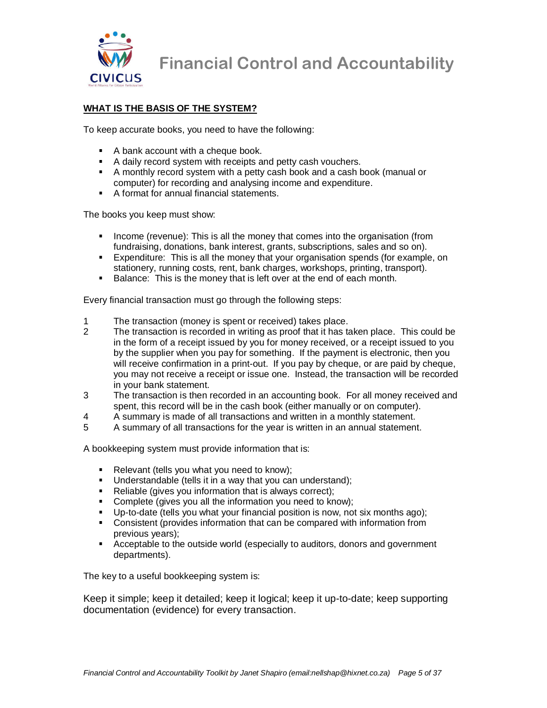

#### **WHAT IS THE BASIS OF THE SYSTEM?**

To keep accurate books, you need to have the following:

- A bank account with a cheque book.
- A daily record system with receipts and petty cash vouchers.
- A monthly record system with a petty cash book and a cash book (manual or computer) for recording and analysing income and expenditure.
- A format for annual financial statements.

The books you keep must show:

- **Income (revenue): This is all the money that comes into the organisation (from** fundraising, donations, bank interest, grants, subscriptions, sales and so on).
- Expenditure: This is all the money that your organisation spends (for example, on stationery, running costs, rent, bank charges, workshops, printing, transport).
- Balance: This is the money that is left over at the end of each month.

Every financial transaction must go through the following steps:

- 1 The transaction (money is spent or received) takes place.
- 2 The transaction is recorded in writing as proof that it has taken place. This could be in the form of a receipt issued by you for money received, or a receipt issued to you by the supplier when you pay for something. If the payment is electronic, then you will receive confirmation in a print-out. If you pay by cheque, or are paid by cheque, you may not receive a receipt or issue one. Instead, the transaction will be recorded in your bank statement.
- 3 The transaction is then recorded in an accounting book. For all money received and spent, this record will be in the cash book (either manually or on computer).
- 4 A summary is made of all transactions and written in a monthly statement.
- 5 A summary of all transactions for the year is written in an annual statement.

A bookkeeping system must provide information that is:

- **Relevant (tells you what you need to know);**
- **Understandable (tells it in a way that you can understand);**
- Reliable (gives you information that is always correct);
- Complete (gives you all the information you need to know);
- Up-to-date (tells you what your financial position is now, not six months ago);
- Consistent (provides information that can be compared with information from previous years);
- Acceptable to the outside world (especially to auditors, donors and government departments).

The key to a useful bookkeeping system is:

Keep it simple; keep it detailed; keep it logical; keep it up-to-date; keep supporting documentation (evidence) for every transaction.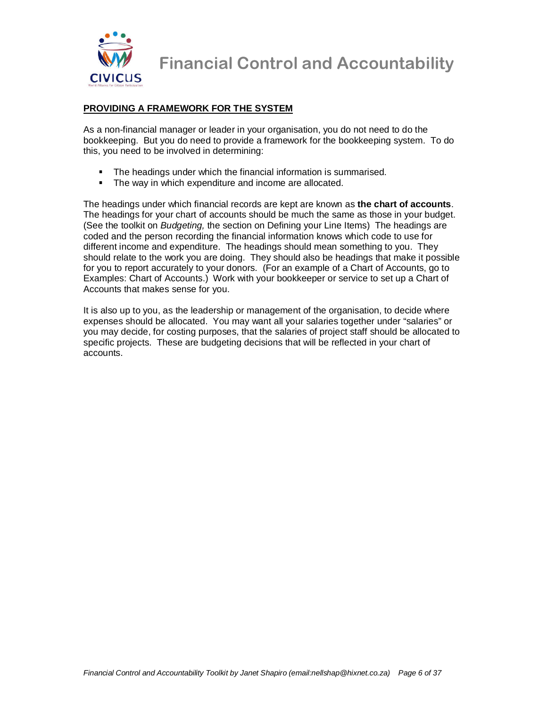

#### **PROVIDING A FRAMEWORK FOR THE SYSTEM**

As a non-financial manager or leader in your organisation, you do not need to do the bookkeeping. But you do need to provide a framework for the bookkeeping system. To do this, you need to be involved in determining:

- The headings under which the financial information is summarised.
- The way in which expenditure and income are allocated.

The headings under which financial records are kept are known as **the chart of accounts**. The headings for your chart of accounts should be much the same as those in your budget. (See the toolkit on *Budgeting*, the section on Defining your Line Items) The headings are coded and the person recording the financial information knows which code to use for different income and expenditure. The headings should mean something to you. They should relate to the work you are doing. They should also be headings that make it possible for you to report accurately to your donors. (For an example of a Chart of Accounts, go to Examples: Chart of Accounts.) Work with your bookkeeper or service to set up a Chart of Accounts that makes sense for you.

It is also up to you, as the leadership or management of the organisation, to decide where expenses should be allocated. You may want all your salaries together under "salaries" or you may decide, for costing purposes, that the salaries of project staff should be allocated to specific projects. These are budgeting decisions that will be reflected in your chart of accounts.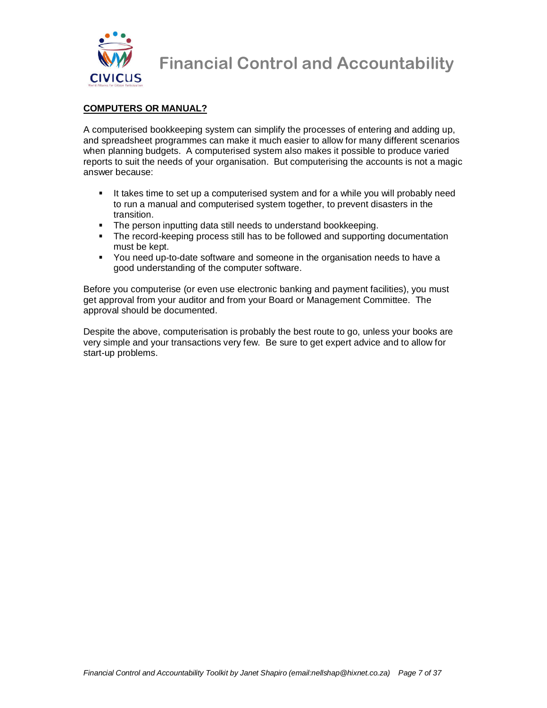

#### **COMPUTERS OR MANUAL?**

A computerised bookkeeping system can simplify the processes of entering and adding up, and spreadsheet programmes can make it much easier to allow for many different scenarios when planning budgets. A computerised system also makes it possible to produce varied reports to suit the needs of your organisation. But computerising the accounts is not a magic answer because:

- It takes time to set up a computerised system and for a while you will probably need to run a manual and computerised system together, to prevent disasters in the transition.
- **The person inputting data still needs to understand bookkeeping.**
- The record-keeping process still has to be followed and supporting documentation must be kept.
- You need up-to-date software and someone in the organisation needs to have a good understanding of the computer software.

Before you computerise (or even use electronic banking and payment facilities), you must get approval from your auditor and from your Board or Management Committee. The approval should be documented.

Despite the above, computerisation is probably the best route to go, unless your books are very simple and your transactions very few. Be sure to get expert advice and to allow for start-up problems.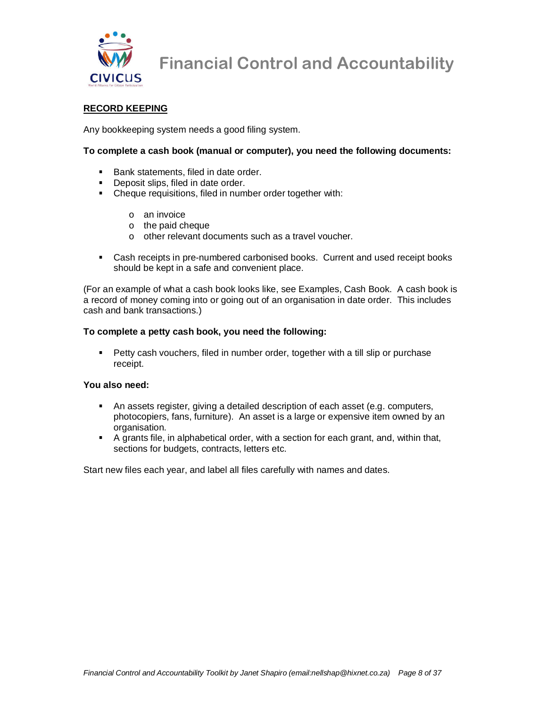

#### **RECORD KEEPING**

Any bookkeeping system needs a good filing system.

#### **To complete a cash book (manual or computer), you need the following documents:**

- Bank statements, filed in date order.
- Deposit slips, filed in date order.
- Cheque requisitions, filed in number order together with:
	- o an invoice
	- o the paid cheque
	- o other relevant documents such as a travel voucher.
- Cash receipts in pre-numbered carbonised books. Current and used receipt books should be kept in a safe and convenient place.

(For an example of what a cash book looks like, see Examples, Cash Book. A cash book is a record of money coming into or going out of an organisation in date order. This includes cash and bank transactions.)

#### **To complete a petty cash book, you need the following:**

**Petty cash vouchers, filed in number order, together with a till slip or purchase** receipt.

#### **You also need:**

- An assets register, giving a detailed description of each asset (e.g. computers, photocopiers, fans, furniture). An asset is a large or expensive item owned by an organisation.
- A grants file, in alphabetical order, with a section for each grant, and, within that, sections for budgets, contracts, letters etc.

Start new files each year, and label all files carefully with names and dates.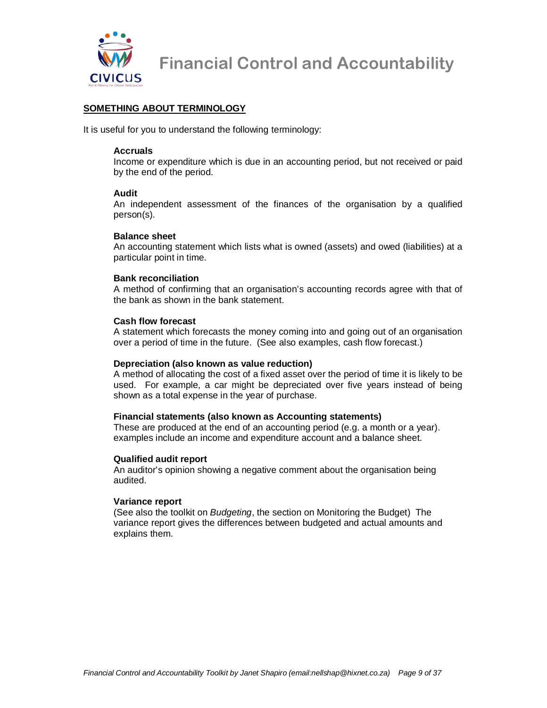

#### **SOMETHING ABOUT TERMINOLOGY**

It is useful for you to understand the following terminology:

#### **Accruals**

Income or expenditure which is due in an accounting period, but not received or paid by the end of the period.

#### **Audit**

An independent assessment of the finances of the organisation by a qualified person(s).

#### **Balance sheet**

An accounting statement which lists what is owned (assets) and owed (liabilities) at a particular point in time.

#### **Bank reconciliation**

A method of confirming that an organisation's accounting records agree with that of the bank as shown in the bank statement.

#### **Cash flow forecast**

A statement which forecasts the money coming into and going out of an organisation over a period of time in the future. (See also examples, cash flow forecast.)

#### **Depreciation (also known as value reduction)**

A method of allocating the cost of a fixed asset over the period of time it is likely to be used. For example, a car might be depreciated over five years instead of being shown as a total expense in the year of purchase.

#### **Financial statements (also known as Accounting statements)**

These are produced at the end of an accounting period (e.g. a month or a year). examples include an income and expenditure account and a balance sheet.

#### **Qualified audit report**

An auditor's opinion showing a negative comment about the organisation being audited.

#### **Variance report**

(See also the toolkit on Budgeting, the section on Monitoring the Budget) The variance report gives the differences between budgeted and actual amounts and explains them.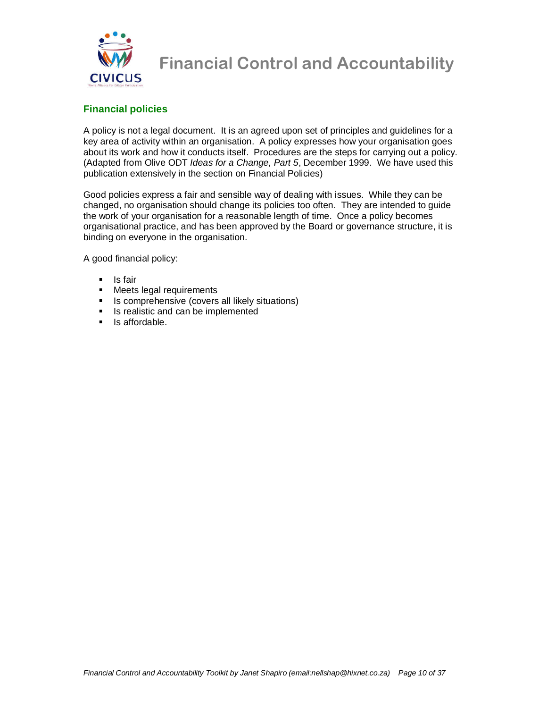

### **Financial policies**

A policy is not a legal document. It is an agreed upon set of principles and guidelines for a key area of activity within an organisation. A policy expresses how your organisation goes about its work and how it conducts itself. Procedures are the steps for carrying out a policy. (Adapted from Olive ODT Ideas for a Change, Part 5, December 1999. We have used this publication extensively in the section on Financial Policies)

Good policies express a fair and sensible way of dealing with issues. While they can be changed, no organisation should change its policies too often. They are intended to guide the work of your organisation for a reasonable length of time. Once a policy becomes organisational practice, and has been approved by the Board or governance structure, it is binding on everyone in the organisation.

A good financial policy:

- **Is fair**
- **Meets legal requirements**
- **IS comprehensive (covers all likely situations)**
- Is realistic and can be implemented
- $\blacksquare$  Is affordable.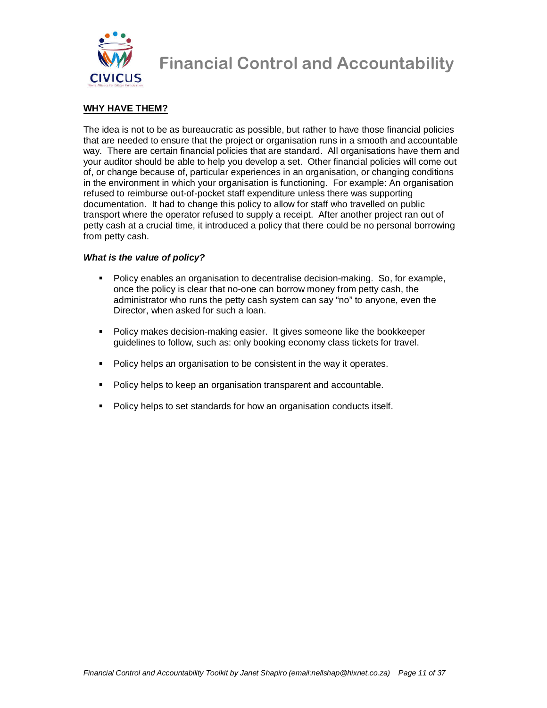

#### **WHY HAVE THEM?**

The idea is not to be as bureaucratic as possible, but rather to have those financial policies that are needed to ensure that the project or organisation runs in a smooth and accountable way. There are certain financial policies that are standard. All organisations have them and your auditor should be able to help you develop a set. Other financial policies will come out of, or change because of, particular experiences in an organisation, or changing conditions in the environment in which your organisation is functioning. For example: An organisation refused to reimburse out-of-pocket staff expenditure unless there was supporting documentation. It had to change this policy to allow for staff who travelled on public transport where the operator refused to supply a receipt. After another project ran out of petty cash at a crucial time, it introduced a policy that there could be no personal borrowing from petty cash.

#### **What is the value of policy?**

- Policy enables an organisation to decentralise decision-making. So, for example, once the policy is clear that no-one can borrow money from petty cash, the administrator who runs the petty cash system can say "no" to anyone, even the Director, when asked for such a loan.
- Policy makes decision-making easier. It gives someone like the bookkeeper guidelines to follow, such as: only booking economy class tickets for travel.
- Policy helps an organisation to be consistent in the way it operates.
- Policy helps to keep an organisation transparent and accountable.
- Policy helps to set standards for how an organisation conducts itself.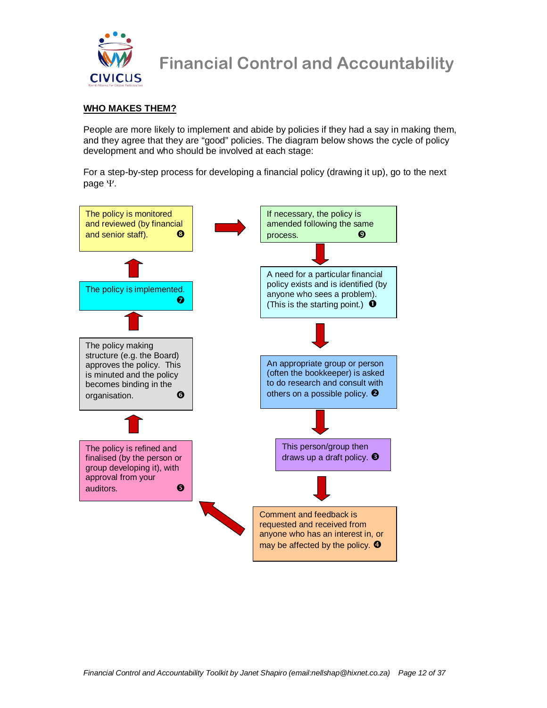

#### **WHO MAKES THEM?**

People are more likely to implement and abide by policies if they had a say in making them, and they agree that they are "good" policies. The diagram below shows the cycle of policy development and who should be involved at each stage:

For a step-by-step process for developing a financial policy (drawing it up), go to the next page Ψ.

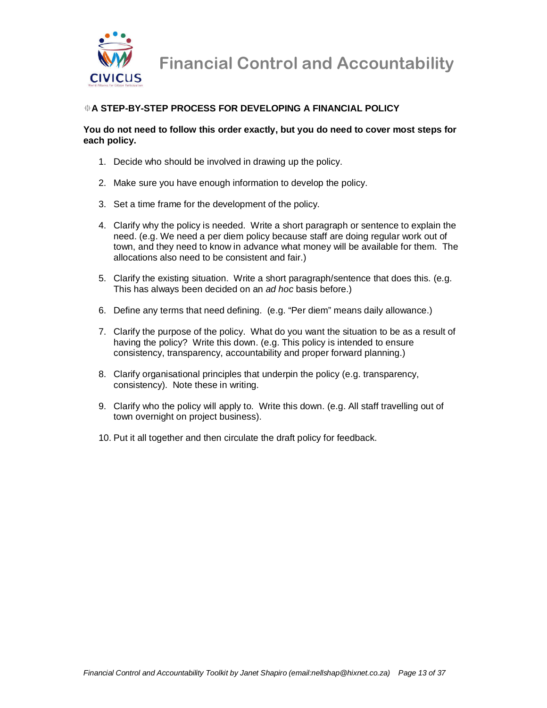

#### -**A STEP-BY-STEP PROCESS FOR DEVELOPING A FINANCIAL POLICY**

#### **You do not need to follow this order exactly, but you do need to cover most steps for each policy.**

- 1. Decide who should be involved in drawing up the policy.
- 2. Make sure you have enough information to develop the policy.
- 3. Set a time frame for the development of the policy.
- 4. Clarify why the policy is needed. Write a short paragraph or sentence to explain the need. (e.g. We need a per diem policy because staff are doing regular work out of town, and they need to know in advance what money will be available for them. The allocations also need to be consistent and fair.)
- 5. Clarify the existing situation. Write a short paragraph/sentence that does this. (e.g. This has always been decided on an ad hoc basis before.)
- 6. Define any terms that need defining. (e.g. "Per diem" means daily allowance.)
- 7. Clarify the purpose of the policy. What do you want the situation to be as a result of having the policy? Write this down. (e.g. This policy is intended to ensure consistency, transparency, accountability and proper forward planning.)
- 8. Clarify organisational principles that underpin the policy (e.g. transparency, consistency). Note these in writing.
- 9. Clarify who the policy will apply to. Write this down. (e.g. All staff travelling out of town overnight on project business).
- 10. Put it all together and then circulate the draft policy for feedback.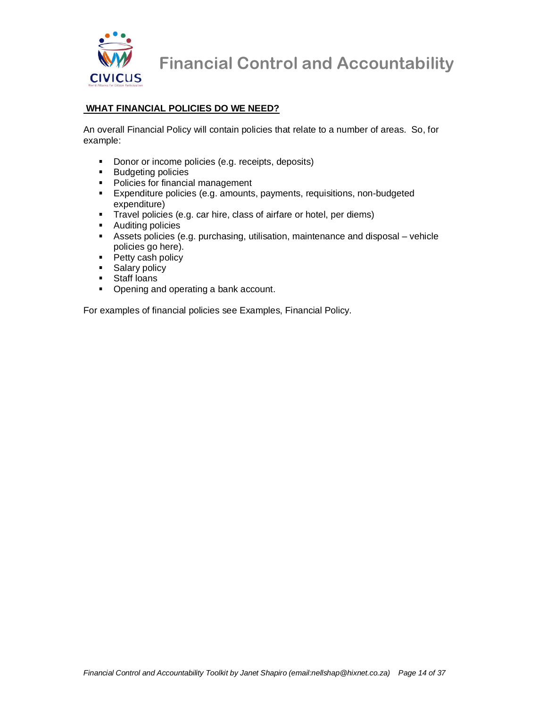

#### **WHAT FINANCIAL POLICIES DO WE NEED?**

An overall Financial Policy will contain policies that relate to a number of areas. So, for example:

- Donor or income policies (e.g. receipts, deposits)
- **Budgeting policies**
- **Policies for financial management**
- Expenditure policies (e.g. amounts, payments, requisitions, non-budgeted expenditure)
- Travel policies (e.g. car hire, class of airfare or hotel, per diems)
- **Auditing policies**
- Assets policies (e.g. purchasing, utilisation, maintenance and disposal vehicle policies go here).
- Petty cash policy
- **Salary policy**
- **Staff loans**
- Opening and operating a bank account.

For examples of financial policies see Examples, Financial Policy.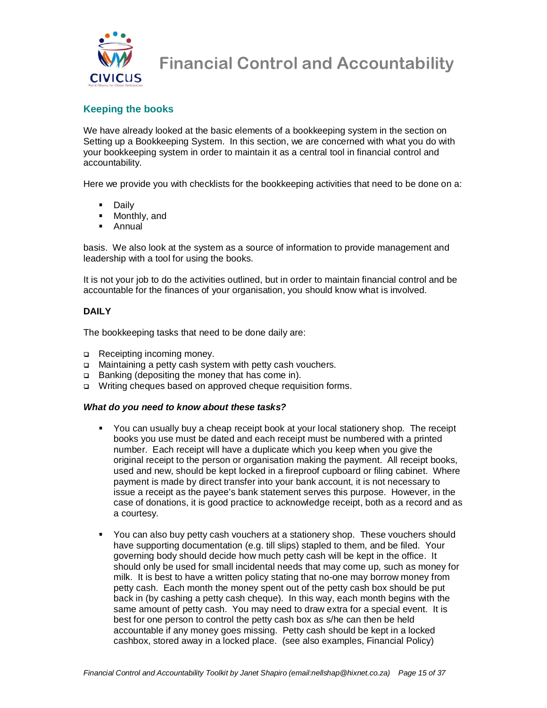

#### **Keeping the books**

We have already looked at the basic elements of a bookkeeping system in the section on Setting up a Bookkeeping System. In this section, we are concerned with what you do with your bookkeeping system in order to maintain it as a central tool in financial control and accountability.

Here we provide you with checklists for the bookkeeping activities that need to be done on a:

- Daily
- **Monthly, and**
- Annual

basis. We also look at the system as a source of information to provide management and leadership with a tool for using the books.

It is not your job to do the activities outlined, but in order to maintain financial control and be accountable for the finances of your organisation, you should know what is involved.

#### **DAILY**

The bookkeeping tasks that need to be done daily are:

- Receipting incoming money.
- Maintaining a petty cash system with petty cash vouchers.
- □ Banking (depositing the money that has come in).
- □ Writing cheques based on approved cheque requisition forms.

#### **What do you need to know about these tasks?**

- You can usually buy a cheap receipt book at your local stationery shop. The receipt books you use must be dated and each receipt must be numbered with a printed number. Each receipt will have a duplicate which you keep when you give the original receipt to the person or organisation making the payment. All receipt books, used and new, should be kept locked in a fireproof cupboard or filing cabinet. Where payment is made by direct transfer into your bank account, it is not necessary to issue a receipt as the payee's bank statement serves this purpose. However, in the case of donations, it is good practice to acknowledge receipt, both as a record and as a courtesy.
- You can also buy petty cash vouchers at a stationery shop. These vouchers should have supporting documentation (e.g. till slips) stapled to them, and be filed. Your governing body should decide how much petty cash will be kept in the office. It should only be used for small incidental needs that may come up, such as money for milk. It is best to have a written policy stating that no-one may borrow money from petty cash. Each month the money spent out of the petty cash box should be put back in (by cashing a petty cash cheque). In this way, each month begins with the same amount of petty cash. You may need to draw extra for a special event. It is best for one person to control the petty cash box as s/he can then be held accountable if any money goes missing. Petty cash should be kept in a locked cashbox, stored away in a locked place. (see also examples, Financial Policy)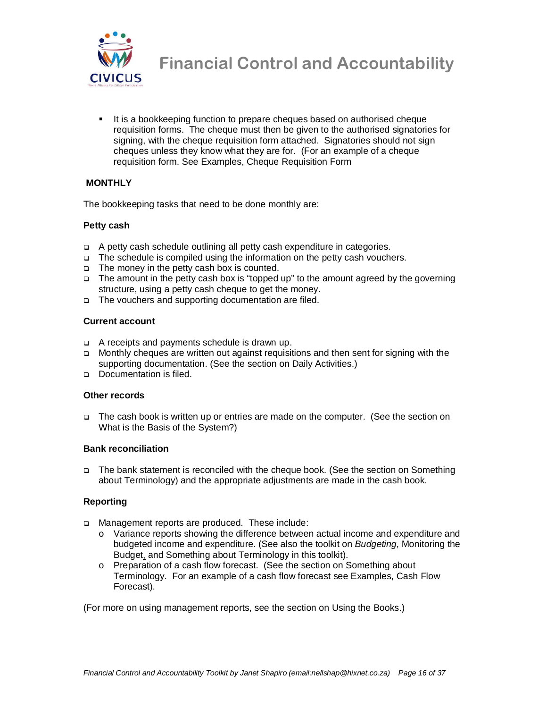

It is a bookkeeping function to prepare cheques based on authorised cheque requisition forms. The cheque must then be given to the authorised signatories for signing, with the cheque requisition form attached. Signatories should not sign cheques unless they know what they are for. (For an example of a cheque requisition form. See Examples, Cheque Requisition Form

#### **MONTHLY**

The bookkeeping tasks that need to be done monthly are:

#### **Petty cash**

- A petty cash schedule outlining all petty cash expenditure in categories.
- The schedule is compiled using the information on the petty cash vouchers.
- The money in the petty cash box is counted.
- $\Box$  The amount in the petty cash box is "topped up" to the amount agreed by the governing structure, using a petty cash cheque to get the money.
- □ The vouchers and supporting documentation are filed.

#### **Current account**

- A receipts and payments schedule is drawn up.
- Monthly cheques are written out against requisitions and then sent for signing with the supporting documentation. (See the section on Daily Activities.)
- Documentation is filed.

#### **Other records**

 The cash book is written up or entries are made on the computer. (See the section on What is the Basis of the System?)

#### **Bank reconciliation**

 The bank statement is reconciled with the cheque book. (See the section on Something about Terminology) and the appropriate adjustments are made in the cash book.

#### **Reporting**

- Management reports are produced. These include:
	- o Variance reports showing the difference between actual income and expenditure and budgeted income and expenditure. (See also the toolkit on Budgeting, Monitoring the Budget, and Something about Terminology in this toolkit).
	- o Preparation of a cash flow forecast. (See the section on Something about Terminology. For an example of a cash flow forecast see Examples, Cash Flow Forecast).

(For more on using management reports, see the section on Using the Books.)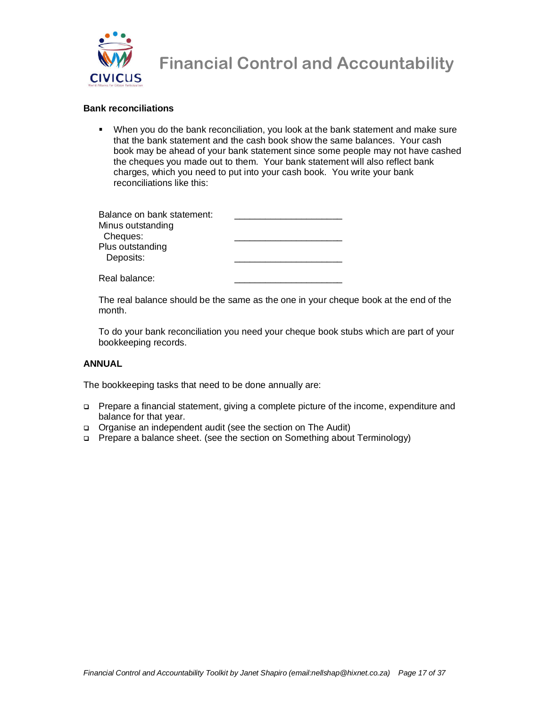

#### **Bank reconciliations**

 When you do the bank reconciliation, you look at the bank statement and make sure that the bank statement and the cash book show the same balances. Your cash book may be ahead of your bank statement since some people may not have cashed the cheques you made out to them. Your bank statement will also reflect bank charges, which you need to put into your cash book. You write your bank reconciliations like this:

| Balance on bank statement: |  |
|----------------------------|--|
| Minus outstanding          |  |
| Cheques:                   |  |
| Plus outstanding           |  |
| Deposits:                  |  |
|                            |  |
| Real balance:              |  |

The real balance should be the same as the one in your cheque book at the end of the month.

To do your bank reconciliation you need your cheque book stubs which are part of your bookkeeping records.

#### **ANNUAL**

The bookkeeping tasks that need to be done annually are:

- Prepare a financial statement, giving a complete picture of the income, expenditure and balance for that year.
- Organise an independent audit (see the section on The Audit)
- □ Prepare a balance sheet. (see the section on Something about Terminology)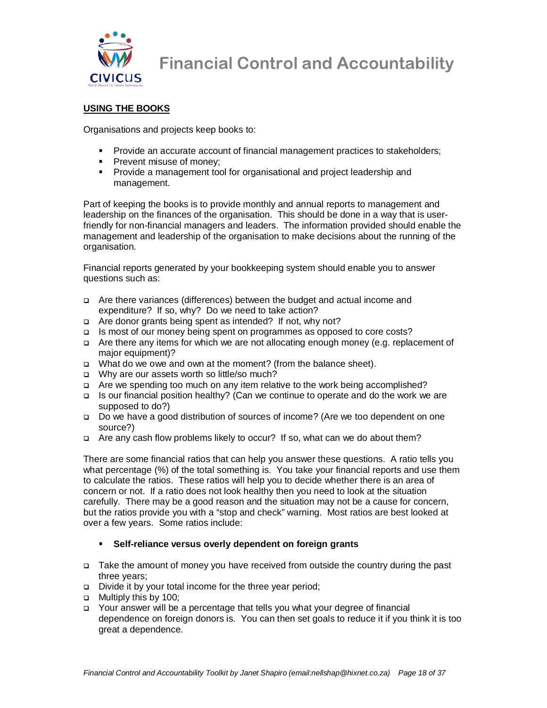

#### **USING THE BOOKS**

Organisations and projects keep books to:

- Provide an accurate account of financial management practices to stakeholders;
- **Prevent misuse of money;**
- **Provide a management tool for organisational and project leadership and** management.

Part of keeping the books is to provide monthly and annual reports to management and leadership on the finances of the organisation. This should be done in a way that is userfriendly for non-financial managers and leaders. The information provided should enable the management and leadership of the organisation to make decisions about the running of the organisation.

Financial reports generated by your bookkeeping system should enable you to answer questions such as:

- Are there variances (differences) between the budget and actual income and expenditure? If so, why? Do we need to take action?
- □ Are donor grants being spent as intended? If not, why not?
- Is most of our money being spent on programmes as opposed to core costs?
- Are there any items for which we are not allocating enough money (e.g. replacement of major equipment)?
- What do we owe and own at the moment? (from the balance sheet).
- Why are our assets worth so little/so much?
- Are we spending too much on any item relative to the work being accomplished?
- Is our financial position healthy? (Can we continue to operate and do the work we are supposed to do?)
- Do we have a good distribution of sources of income? (Are we too dependent on one source?)
- Are any cash flow problems likely to occur? If so, what can we do about them?

There are some financial ratios that can help you answer these questions. A ratio tells you what percentage (%) of the total something is. You take your financial reports and use them to calculate the ratios. These ratios will help you to decide whether there is an area of concern or not. If a ratio does not look healthy then you need to look at the situation carefully. There may be a good reason and the situation may not be a cause for concern, but the ratios provide you with a "stop and check" warning. Most ratios are best looked at over a few years. Some ratios include:

#### **Self-reliance versus overly dependent on foreign grants**

- Take the amount of money you have received from outside the country during the past three years;
- Divide it by your total income for the three year period;
- □ Multiply this by 100;
- Your answer will be a percentage that tells you what your degree of financial dependence on foreign donors is. You can then set goals to reduce it if you think it is too great a dependence.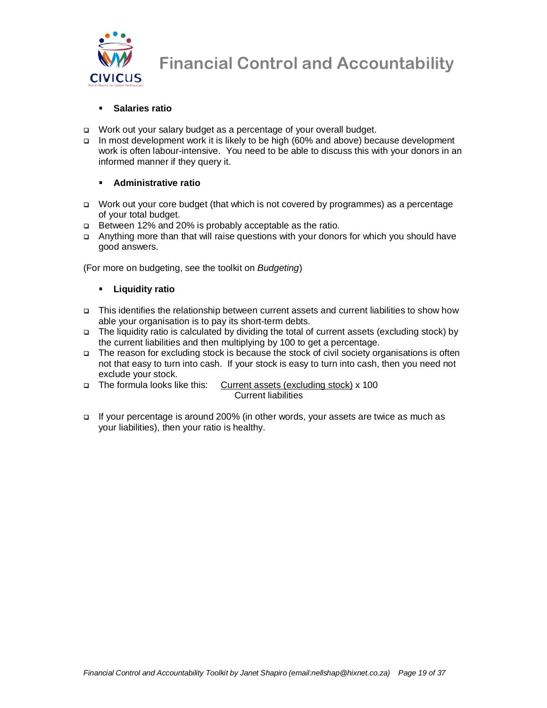

#### **Salaries ratio**

- □ Work out your salary budget as a percentage of your overall budget.
- In most development work it is likely to be high (60% and above) because development work is often labour-intensive. You need to be able to discuss this with your donors in an informed manner if they query it.

#### **Administrative ratio**

- Work out your core budget (that which is not covered by programmes) as a percentage of your total budget.
- Between 12% and 20% is probably acceptable as the ratio.
- Anything more than that will raise questions with your donors for which you should have good answers.

(For more on budgeting, see the toolkit on Budgeting)

#### **Liquidity ratio**

- This identifies the relationship between current assets and current liabilities to show how able your organisation is to pay its short-term debts.
- The liquidity ratio is calculated by dividing the total of current assets (excluding stock) by the current liabilities and then multiplying by 100 to get a percentage.
- The reason for excluding stock is because the stock of civil society organisations is often not that easy to turn into cash. If your stock is easy to turn into cash, then you need not exclude your stock.
- The formula looks like this: Current assets (excluding stock) x 100 Current liabilities
- If your percentage is around 200% (in other words, your assets are twice as much as your liabilities), then your ratio is healthy.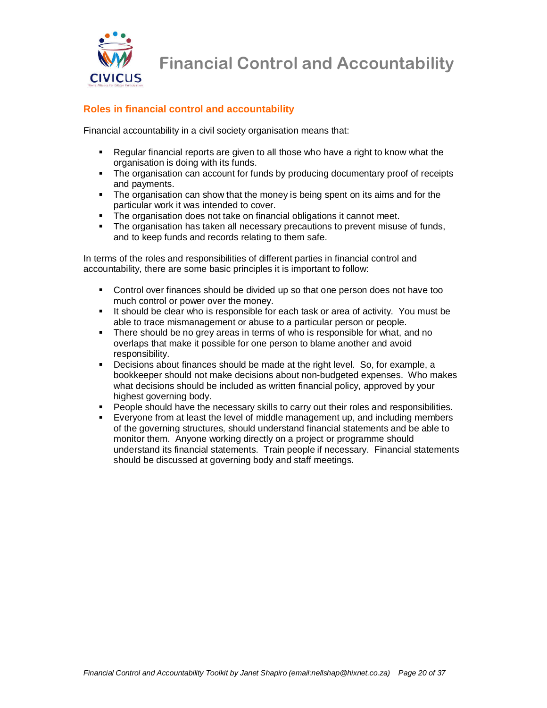

### **Roles in financial control and accountability**

Financial accountability in a civil society organisation means that:

- Regular financial reports are given to all those who have a right to know what the organisation is doing with its funds.
- The organisation can account for funds by producing documentary proof of receipts and payments.
- The organisation can show that the money is being spent on its aims and for the particular work it was intended to cover.
- The organisation does not take on financial obligations it cannot meet.
- The organisation has taken all necessary precautions to prevent misuse of funds, and to keep funds and records relating to them safe.

In terms of the roles and responsibilities of different parties in financial control and accountability, there are some basic principles it is important to follow:

- Control over finances should be divided up so that one person does not have too much control or power over the money.
- It should be clear who is responsible for each task or area of activity. You must be able to trace mismanagement or abuse to a particular person or people.
- There should be no grey areas in terms of who is responsible for what, and no overlaps that make it possible for one person to blame another and avoid responsibility.
- Decisions about finances should be made at the right level. So, for example, a bookkeeper should not make decisions about non-budgeted expenses. Who makes what decisions should be included as written financial policy, approved by your highest governing body.
- **People should have the necessary skills to carry out their roles and responsibilities.**
- Everyone from at least the level of middle management up, and including members of the governing structures, should understand financial statements and be able to monitor them. Anyone working directly on a project or programme should understand its financial statements. Train people if necessary. Financial statements should be discussed at governing body and staff meetings.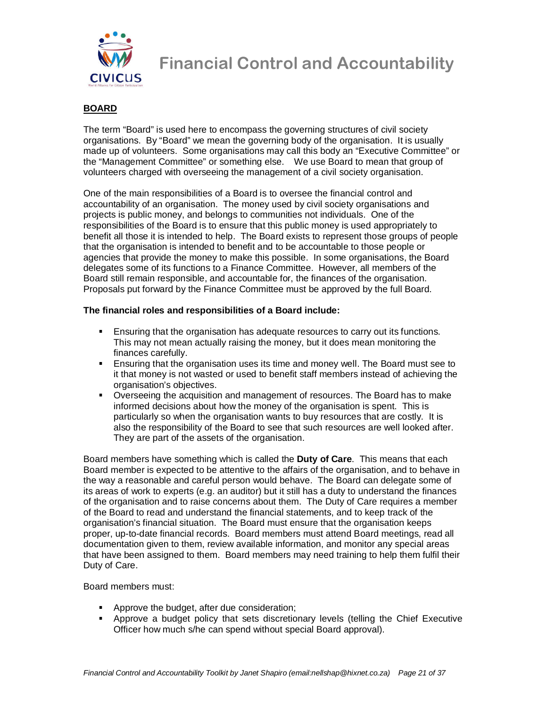

#### **BOARD**

The term "Board" is used here to encompass the governing structures of civil society organisations. By "Board" we mean the governing body of the organisation. It is usually made up of volunteers. Some organisations may call this body an "Executive Committee" or the "Management Committee" or something else. We use Board to mean that group of volunteers charged with overseeing the management of a civil society organisation.

One of the main responsibilities of a Board is to oversee the financial control and accountability of an organisation. The money used by civil society organisations and projects is public money, and belongs to communities not individuals. One of the responsibilities of the Board is to ensure that this public money is used appropriately to benefit all those it is intended to help. The Board exists to represent those groups of people that the organisation is intended to benefit and to be accountable to those people or agencies that provide the money to make this possible. In some organisations, the Board delegates some of its functions to a Finance Committee. However, all members of the Board still remain responsible, and accountable for, the finances of the organisation. Proposals put forward by the Finance Committee must be approved by the full Board.

#### **The financial roles and responsibilities of a Board include:**

- Ensuring that the organisation has adequate resources to carry out its functions. This may not mean actually raising the money, but it does mean monitoring the finances carefully.
- Ensuring that the organisation uses its time and money well. The Board must see to it that money is not wasted or used to benefit staff members instead of achieving the organisation's objectives.
- Overseeing the acquisition and management of resources. The Board has to make informed decisions about how the money of the organisation is spent. This is particularly so when the organisation wants to buy resources that are costly. It is also the responsibility of the Board to see that such resources are well looked after. They are part of the assets of the organisation.

Board members have something which is called the **Duty of Care**. This means that each Board member is expected to be attentive to the affairs of the organisation, and to behave in the way a reasonable and careful person would behave. The Board can delegate some of its areas of work to experts (e.g. an auditor) but it still has a duty to understand the finances of the organisation and to raise concerns about them. The Duty of Care requires a member of the Board to read and understand the financial statements, and to keep track of the organisation's financial situation. The Board must ensure that the organisation keeps proper, up-to-date financial records. Board members must attend Board meetings, read all documentation given to them, review available information, and monitor any special areas that have been assigned to them. Board members may need training to help them fulfil their Duty of Care.

Board members must:

- **Approve the budget, after due consideration;**
- Approve a budget policy that sets discretionary levels (telling the Chief Executive Officer how much s/he can spend without special Board approval).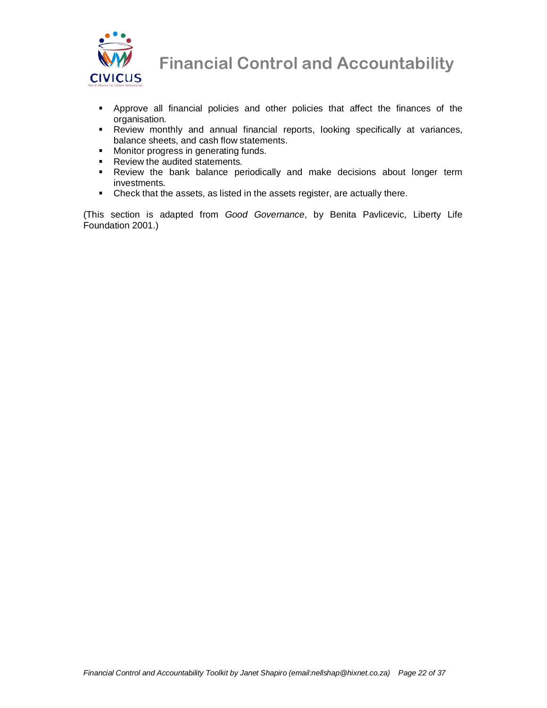

**WW** Financial Control and Accountability<br>CIVICUS

- Approve all financial policies and other policies that affect the finances of the organisation.
- Review monthly and annual financial reports, looking specifically at variances, balance sheets, and cash flow statements.
- **Monitor progress in generating funds.**
- **Review the audited statements.**
- Review the bank balance periodically and make decisions about longer term investments.
- Check that the assets, as listed in the assets register, are actually there.

(This section is adapted from Good Governance, by Benita Pavlicevic, Liberty Life Foundation 2001.)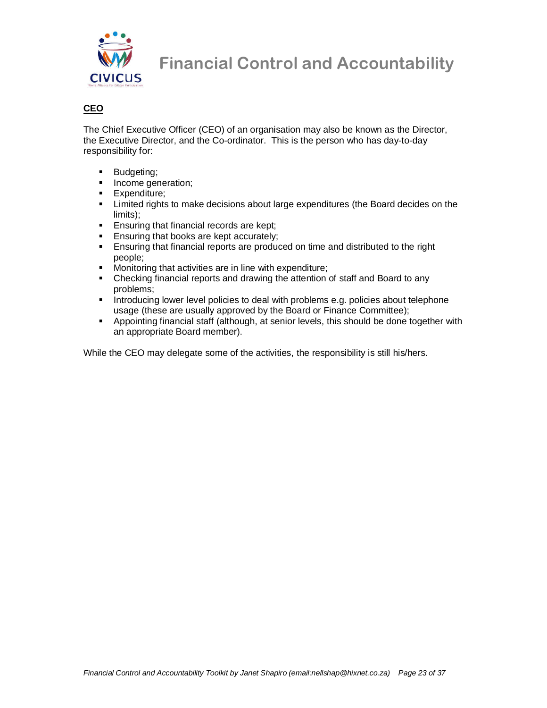

#### **CEO**

The Chief Executive Officer (CEO) of an organisation may also be known as the Director, the Executive Director, and the Co-ordinator. This is the person who has day-to-day responsibility for:

- **Budgeting**;
- **Income generation:**
- **Expenditure:**
- Limited rights to make decisions about large expenditures (the Board decides on the limits);
- **Ensuring that financial records are kept;**
- **Ensuring that books are kept accurately;**
- Ensuring that financial reports are produced on time and distributed to the right people;
- **Monitoring that activities are in line with expenditure;**
- Checking financial reports and drawing the attention of staff and Board to any problems;
- **Introducing lower level policies to deal with problems e.g. policies about telephone** usage (these are usually approved by the Board or Finance Committee);
- Appointing financial staff (although, at senior levels, this should be done together with an appropriate Board member).

While the CEO may delegate some of the activities, the responsibility is still his/hers.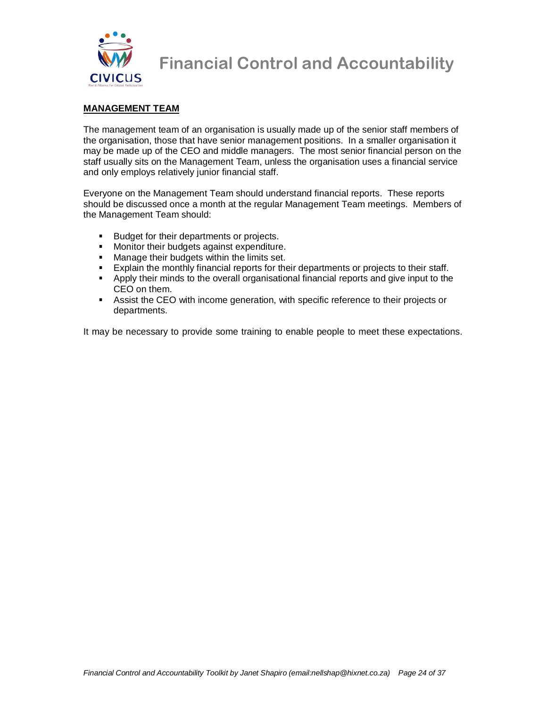

#### **MANAGEMENT TEAM**

The management team of an organisation is usually made up of the senior staff members of the organisation, those that have senior management positions. In a smaller organisation it may be made up of the CEO and middle managers. The most senior financial person on the staff usually sits on the Management Team, unless the organisation uses a financial service and only employs relatively junior financial staff.

Everyone on the Management Team should understand financial reports. These reports should be discussed once a month at the regular Management Team meetings. Members of the Management Team should:

- **Budget for their departments or projects.**
- **Monitor their budgets against expenditure.**
- **Manage their budgets within the limits set.**
- Explain the monthly financial reports for their departments or projects to their staff.<br>Apply their minds to the overall organisational financial reports and give input to the
- Apply their minds to the overall organisational financial reports and give input to the CEO on them.
- Assist the CEO with income generation, with specific reference to their projects or departments.

It may be necessary to provide some training to enable people to meet these expectations.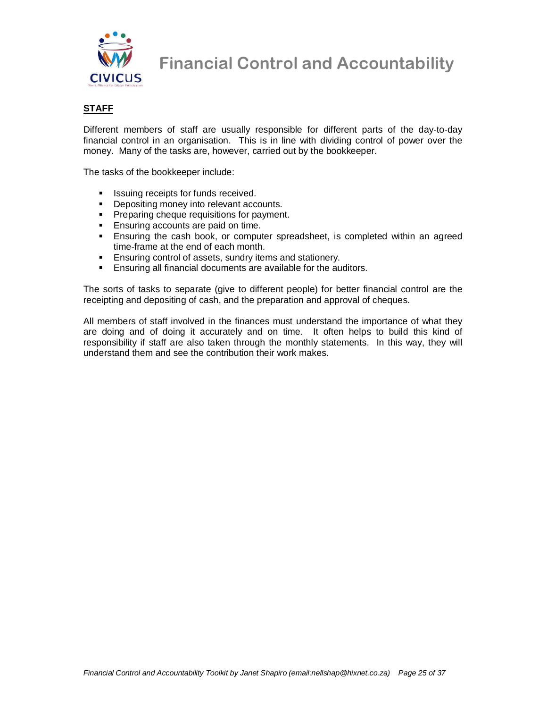

**WW** Financial Control and Accountability<br>CIVICUS

#### **STAFF**

Different members of staff are usually responsible for different parts of the day-to-day financial control in an organisation. This is in line with dividing control of power over the money. Many of the tasks are, however, carried out by the bookkeeper.

The tasks of the bookkeeper include:

- **In Its is a linear is a linear received.**
- Depositing money into relevant accounts.
- **Preparing cheque requisitions for payment.**
- **Ensuring accounts are paid on time.**
- **Ensuring the cash book, or computer spreadsheet, is completed within an agreed** time-frame at the end of each month.
- **Ensuring control of assets, sundry items and stationery.**
- **Ensuring all financial documents are available for the auditors.**

The sorts of tasks to separate (give to different people) for better financial control are the receipting and depositing of cash, and the preparation and approval of cheques.

All members of staff involved in the finances must understand the importance of what they are doing and of doing it accurately and on time. It often helps to build this kind of responsibility if staff are also taken through the monthly statements. In this way, they will understand them and see the contribution their work makes.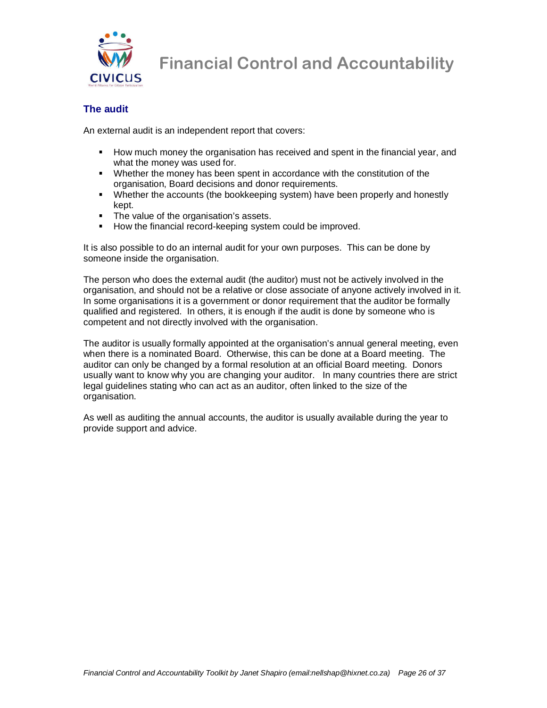

#### **The audit**

An external audit is an independent report that covers:

- **How much money the organisation has received and spent in the financial year, and** what the money was used for.
- Whether the money has been spent in accordance with the constitution of the organisation, Board decisions and donor requirements.
- Whether the accounts (the bookkeeping system) have been properly and honestly kept.
- The value of the organisation's assets.
- **How the financial record-keeping system could be improved.**

It is also possible to do an internal audit for your own purposes. This can be done by someone inside the organisation.

The person who does the external audit (the auditor) must not be actively involved in the organisation, and should not be a relative or close associate of anyone actively involved in it. In some organisations it is a government or donor requirement that the auditor be formally qualified and registered. In others, it is enough if the audit is done by someone who is competent and not directly involved with the organisation.

The auditor is usually formally appointed at the organisation's annual general meeting, even when there is a nominated Board. Otherwise, this can be done at a Board meeting. The auditor can only be changed by a formal resolution at an official Board meeting. Donors usually want to know why you are changing your auditor. In many countries there are strict legal guidelines stating who can act as an auditor, often linked to the size of the organisation.

As well as auditing the annual accounts, the auditor is usually available during the year to provide support and advice.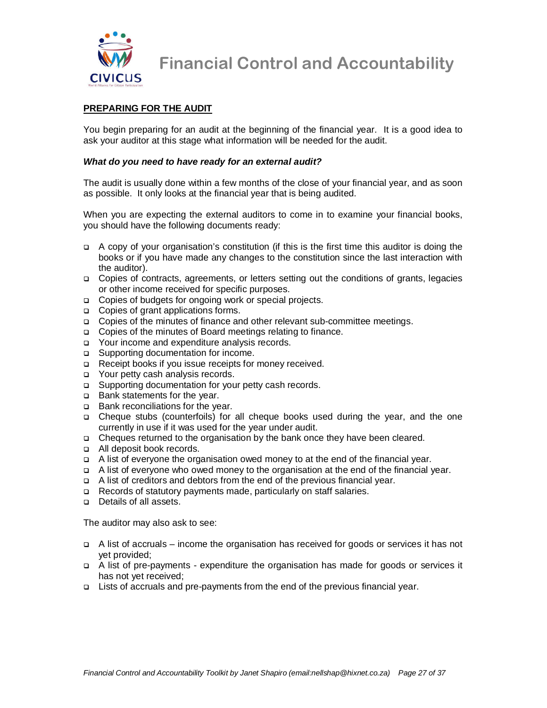

#### **PREPARING FOR THE AUDIT**

You begin preparing for an audit at the beginning of the financial year. It is a good idea to ask your auditor at this stage what information will be needed for the audit.

#### **What do you need to have ready for an external audit?**

The audit is usually done within a few months of the close of your financial year, and as soon as possible. It only looks at the financial year that is being audited.

When you are expecting the external auditors to come in to examine your financial books, you should have the following documents ready:

- $\Box$  A copy of your organisation's constitution (if this is the first time this auditor is doing the books or if you have made any changes to the constitution since the last interaction with the auditor).
- Copies of contracts, agreements, or letters setting out the conditions of grants, legacies or other income received for specific purposes.
- □ Copies of budgets for ongoing work or special projects.
- □ Copies of grant applications forms.
- Copies of the minutes of finance and other relevant sub-committee meetings.
- □ Copies of the minutes of Board meetings relating to finance.
- Your income and expenditure analysis records.
- □ Supporting documentation for income.
- □ Receipt books if you issue receipts for money received.
- □ Your petty cash analysis records.
- □ Supporting documentation for your petty cash records.
- □ Bank statements for the year.
- □ Bank reconciliations for the year.
- Cheque stubs (counterfoils) for all cheque books used during the year, and the one currently in use if it was used for the year under audit.
- Cheques returned to the organisation by the bank once they have been cleared.
- □ All deposit book records.
- A list of everyone the organisation owed money to at the end of the financial year.
- A list of everyone who owed money to the organisation at the end of the financial year.
- A list of creditors and debtors from the end of the previous financial year.
- Records of statutory payments made, particularly on staff salaries.
- Details of all assets.

The auditor may also ask to see:

- A list of accruals income the organisation has received for goods or services it has not yet provided;
- A list of pre-payments expenditure the organisation has made for goods or services it has not yet received;
- Lists of accruals and pre-payments from the end of the previous financial year.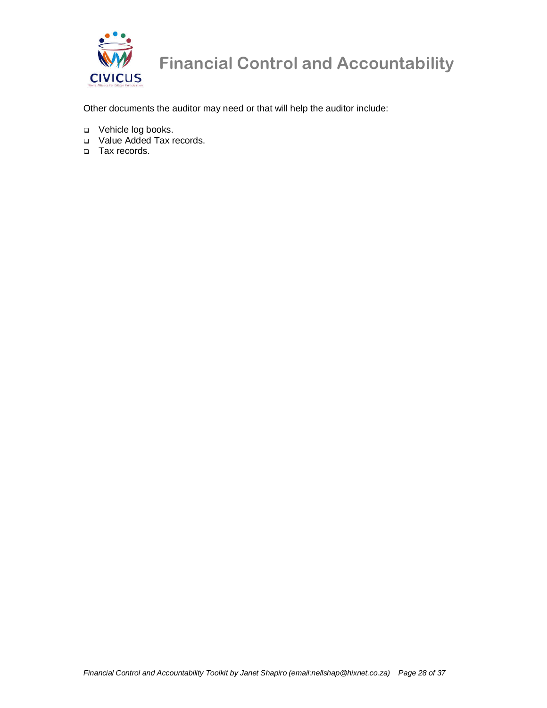

# WW Financial Control and Accountability<br>CIVICUS

Other documents the auditor may need or that will help the auditor include:

- Vehicle log books.
- Value Added Tax records.
- □ Tax records.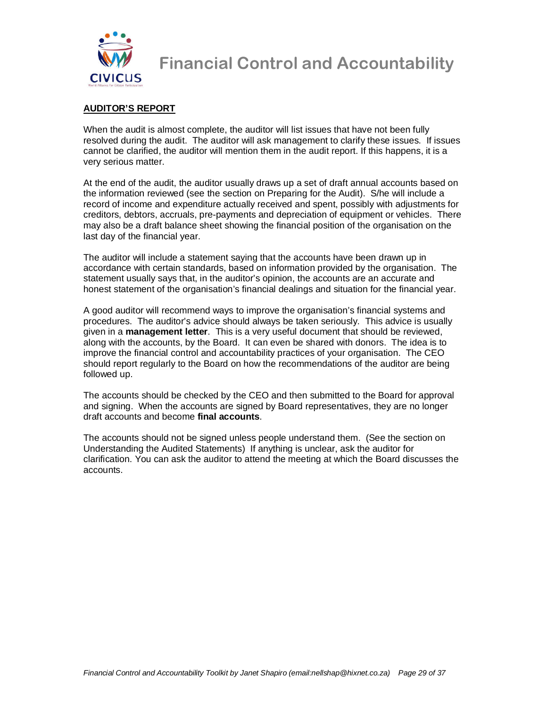

#### **AUDITOR'S REPORT**

When the audit is almost complete, the auditor will list issues that have not been fully resolved during the audit. The auditor will ask management to clarify these issues. If issues cannot be clarified, the auditor will mention them in the audit report. If this happens, it is a very serious matter.

At the end of the audit, the auditor usually draws up a set of draft annual accounts based on the information reviewed (see the section on Preparing for the Audit). S/he will include a record of income and expenditure actually received and spent, possibly with adjustments for creditors, debtors, accruals, pre-payments and depreciation of equipment or vehicles. There may also be a draft balance sheet showing the financial position of the organisation on the last day of the financial year.

The auditor will include a statement saying that the accounts have been drawn up in accordance with certain standards, based on information provided by the organisation. The statement usually says that, in the auditor's opinion, the accounts are an accurate and honest statement of the organisation's financial dealings and situation for the financial year.

A good auditor will recommend ways to improve the organisation's financial systems and procedures. The auditor's advice should always be taken seriously. This advice is usually given in a **management letter**. This is a very useful document that should be reviewed, along with the accounts, by the Board. It can even be shared with donors. The idea is to improve the financial control and accountability practices of your organisation. The CEO should report regularly to the Board on how the recommendations of the auditor are being followed up.

The accounts should be checked by the CEO and then submitted to the Board for approval and signing. When the accounts are signed by Board representatives, they are no longer draft accounts and become **final accounts**.

The accounts should not be signed unless people understand them. (See the section on Understanding the Audited Statements) If anything is unclear, ask the auditor for clarification. You can ask the auditor to attend the meeting at which the Board discusses the accounts.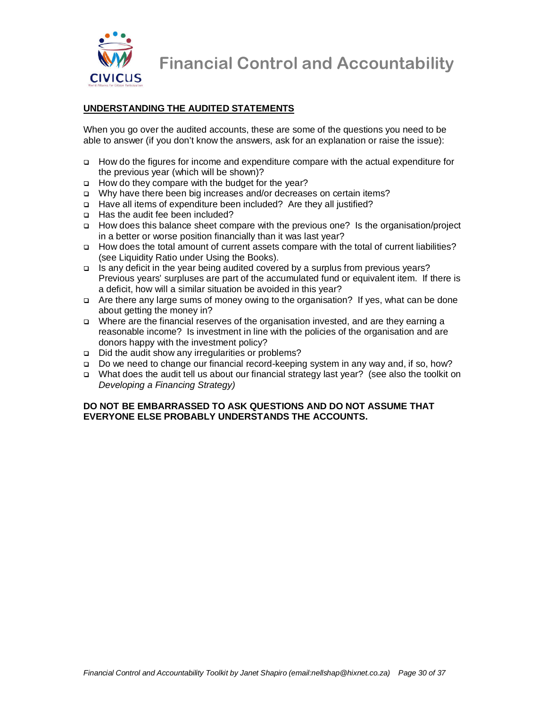

#### **UNDERSTANDING THE AUDITED STATEMENTS**

When you go over the audited accounts, these are some of the questions you need to be able to answer (if you don't know the answers, ask for an explanation or raise the issue):

- How do the figures for income and expenditure compare with the actual expenditure for the previous year (which will be shown)?
- How do they compare with the budget for the year?
- Why have there been big increases and/or decreases on certain items?
- □ Have all items of expenditure been included? Are they all justified?
- □ Has the audit fee been included?
- How does this balance sheet compare with the previous one? Is the organisation/project in a better or worse position financially than it was last year?
- How does the total amount of current assets compare with the total of current liabilities? (see Liquidity Ratio under Using the Books).
- Is any deficit in the year being audited covered by a surplus from previous years? Previous years' surpluses are part of the accumulated fund or equivalent item. If there is a deficit, how will a similar situation be avoided in this year?
- Are there any large sums of money owing to the organisation? If yes, what can be done about getting the money in?
- Where are the financial reserves of the organisation invested, and are they earning a reasonable income? Is investment in line with the policies of the organisation and are donors happy with the investment policy?
- □ Did the audit show any irregularities or problems?
- Do we need to change our financial record-keeping system in any way and, if so, how?
- What does the audit tell us about our financial strategy last year? (see also the toolkit on Developing a Financing Strategy)

#### **DO NOT BE EMBARRASSED TO ASK QUESTIONS AND DO NOT ASSUME THAT EVERYONE ELSE PROBABLY UNDERSTANDS THE ACCOUNTS.**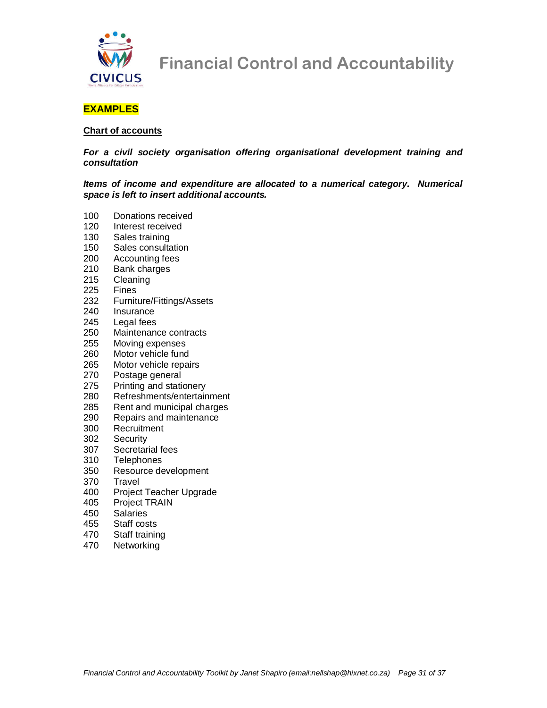

#### **EXAMPLES**

#### **Chart of accounts**

**For a civil society organisation offering organisational development training and consultation** 

**Items of income and expenditure are allocated to a numerical category. Numerical space is left to insert additional accounts.** 

- 100 Donations received
- 120 Interest received
- 130 Sales training
- 150 Sales consultation
- 200 Accounting fees
- 210 Bank charges<br>215 Cleaning
- Cleaning
- 225 Fines
- 232 Furniture/Fittings/Assets
- 240 Insurance
- 245 Legal fees
- 250 Maintenance contracts
- 255 Moving expenses
- 260 Motor vehicle fund<br>265 Motor vehicle repai
- Motor vehicle repairs
- 270 Postage general
- 275 Printing and stationery
- 280 Refreshments/entertainment
- 285 Rent and municipal charges
- 290 Repairs and maintenance
- 300 Recruitment
- 302 Security
- 307 Secretarial fees
- 310 Telephones
- 350 Resource development
- 370 Travel
- 400 Project Teacher Upgrade
- 405 Project TRAIN
- 450 Salaries
- 455 Staff costs
- 470 Staff training
- 470 Networking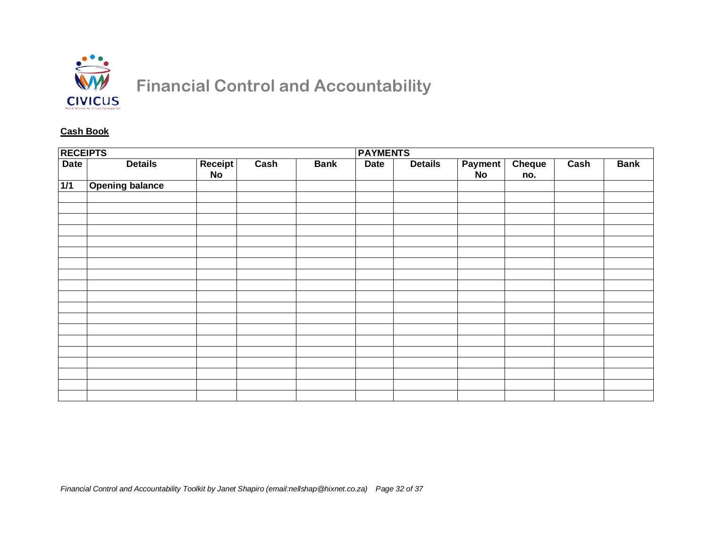

#### **Cash Book**

| <b>RECEIPTS</b><br><b>PAYMENTS</b> |                        |               |      |             |             |                |                             |               |      |             |
|------------------------------------|------------------------|---------------|------|-------------|-------------|----------------|-----------------------------|---------------|------|-------------|
| <b>Date</b>                        | <b>Details</b>         | Receipt<br>No | Cash | <b>Bank</b> | <b>Date</b> | <b>Details</b> | <b>Payment</b><br><b>No</b> | Cheque<br>no. | Cash | <b>Bank</b> |
| 1/1                                | <b>Opening balance</b> |               |      |             |             |                |                             |               |      |             |
|                                    |                        |               |      |             |             |                |                             |               |      |             |
|                                    |                        |               |      |             |             |                |                             |               |      |             |
|                                    |                        |               |      |             |             |                |                             |               |      |             |
|                                    |                        |               |      |             |             |                |                             |               |      |             |
|                                    |                        |               |      |             |             |                |                             |               |      |             |
|                                    |                        |               |      |             |             |                |                             |               |      |             |
|                                    |                        |               |      |             |             |                |                             |               |      |             |
|                                    |                        |               |      |             |             |                |                             |               |      |             |
|                                    |                        |               |      |             |             |                |                             |               |      |             |
|                                    |                        |               |      |             |             |                |                             |               |      |             |
|                                    |                        |               |      |             |             |                |                             |               |      |             |
|                                    |                        |               |      |             |             |                |                             |               |      |             |
|                                    |                        |               |      |             |             |                |                             |               |      |             |
|                                    |                        |               |      |             |             |                |                             |               |      |             |
|                                    |                        |               |      |             |             |                |                             |               |      |             |
|                                    |                        |               |      |             |             |                |                             |               |      |             |
|                                    |                        |               |      |             |             |                |                             |               |      |             |
|                                    |                        |               |      |             |             |                |                             |               |      |             |
|                                    |                        |               |      |             |             |                |                             |               |      |             |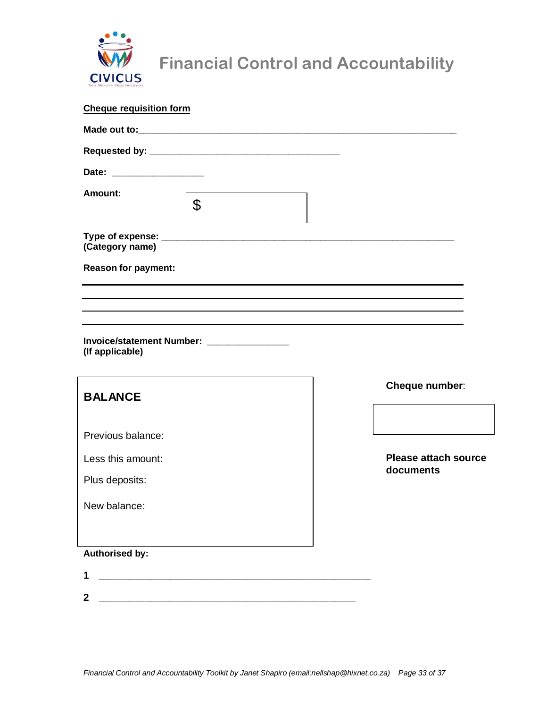

# WW Financial Control and Accountability<br>CIVICUS

| <b>Cheque requisition form</b> |                                                                                  |                             |
|--------------------------------|----------------------------------------------------------------------------------|-----------------------------|
|                                |                                                                                  |                             |
|                                |                                                                                  |                             |
|                                |                                                                                  |                             |
| Amount:                        | $\boldsymbol{\theta}$                                                            |                             |
| (Category name)                |                                                                                  |                             |
| <b>Reason for payment:</b>     |                                                                                  |                             |
|                                | ,我们也不会有什么。""我们的人,我们也不会有什么?""我们的人,我们也不会有什么?""我们的人,我们也不会有什么?""我们的人,我们也不会有什么?""我们的人 |                             |
|                                |                                                                                  |                             |
| (If applicable)                | Invoice/statement Number: _________________                                      |                             |
| <b>BALANCE</b>                 |                                                                                  | Cheque number:              |
| Previous balance:              |                                                                                  |                             |
| Less this amount:              |                                                                                  | <b>Please attach source</b> |
| Plus deposits:                 |                                                                                  | documents                   |
| New balance:                   |                                                                                  |                             |
|                                |                                                                                  |                             |
| <b>Authorised by:</b>          |                                                                                  |                             |
| 1                              |                                                                                  |                             |
| $\mathbf 2$                    |                                                                                  |                             |
|                                |                                                                                  |                             |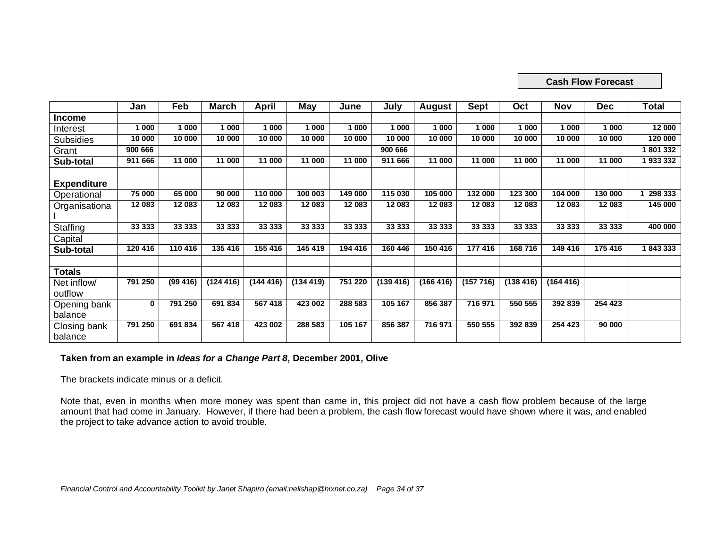#### **Cash Flow Forecast**

|                    | Jan     | Feb      | March     | <b>April</b> | May       | June    | July      | <b>August</b> | <b>Sept</b> | Oct      | Nov       | <b>Dec</b> | <b>Total</b> |
|--------------------|---------|----------|-----------|--------------|-----------|---------|-----------|---------------|-------------|----------|-----------|------------|--------------|
| Income             |         |          |           |              |           |         |           |               |             |          |           |            |              |
| Interest           | 1 000   | 1 000    | 1 000     | 1 000        | 1 000     | 1 000   | 1 000     | 1 000         | 1 000       | 1 000    | 1 000     | 1 000      | 12 000       |
| <b>Subsidies</b>   | 10 000  | 10 000   | 10 000    | 10 000       | 10 000    | 10 000  | 10 000    | 10 000        | 10 000      | 10 000   | 10 000    | 10 000     | 120 000      |
| Grant              | 900 666 |          |           |              |           |         | 900 666   |               |             |          |           |            | 1801332      |
| Sub-total          | 911 666 | 11 000   | 11 000    | 11 000       | 11 000    | 11 000  | 911 666   | 11 000        | 11 000      | 11 000   | 11 000    | 11 000     | 1933332      |
|                    |         |          |           |              |           |         |           |               |             |          |           |            |              |
| <b>Expenditure</b> |         |          |           |              |           |         |           |               |             |          |           |            |              |
| Operational        | 75 000  | 65 000   | 90 000    | 110 000      | 100 003   | 149 000 | 115 030   | 105 000       | 132 000     | 123 300  | 104 000   | 130 000    | 298 333      |
| Organisationa      | 12 083  | 12 083   | 12 083    | 12 083       | 12 083    | 12 083  | 12 083    | 12 083        | 12 083      | 12 083   | 12 083    | 12 083     | 145 000      |
|                    |         |          |           |              |           |         |           |               |             |          |           |            |              |
| Staffing           | 33 333  | 33 333   | 33 333    | 33 333       | 33 333    | 33 333  | 33 333    | 33 333        | 33 333      | 33 333   | 33 333    | 33 333     | 400 000      |
| Capital            |         |          |           |              |           |         |           |               |             |          |           |            |              |
| Sub-total          | 120 416 | 110 416  | 135 416   | 155 416      | 145 419   | 194 416 | 160 446   | 150 416       | 177 416     | 168716   | 149 416   | 175 416    | 1843333      |
|                    |         |          |           |              |           |         |           |               |             |          |           |            |              |
| <b>Totals</b>      |         |          |           |              |           |         |           |               |             |          |           |            |              |
| Net inflow/        | 791 250 | (99 416) | (124 416) | (144416)     | (134 419) | 751 220 | (139 416) | (166 416)     | (157716)    | (138416) | (164 416) |            |              |
| outflow            |         |          |           |              |           |         |           |               |             |          |           |            |              |
| Opening bank       | 0       | 791 250  | 691 834   | 567 418      | 423 002   | 288 583 | 105 167   | 856 387       | 716 971     | 550 555  | 392 839   | 254 423    |              |
| balance            |         |          |           |              |           |         |           |               |             |          |           |            |              |
| Closing bank       | 791 250 | 691 834  | 567 418   | 423 002      | 288 583   | 105 167 | 856 387   | 716 971       | 550 555     | 392 839  | 254 423   | 90 000     |              |
| balance            |         |          |           |              |           |         |           |               |             |          |           |            |              |

#### **Taken from an example in Ideas for a Change Part 8, December 2001, Olive**

The brackets indicate minus or a deficit.

Note that, even in months when more money was spent than came in, this project did not have a cash flow problem because of the large<br>amount that had come in January. However, if there had been a problem, the cash flow fore the project to take advance action to avoid trouble.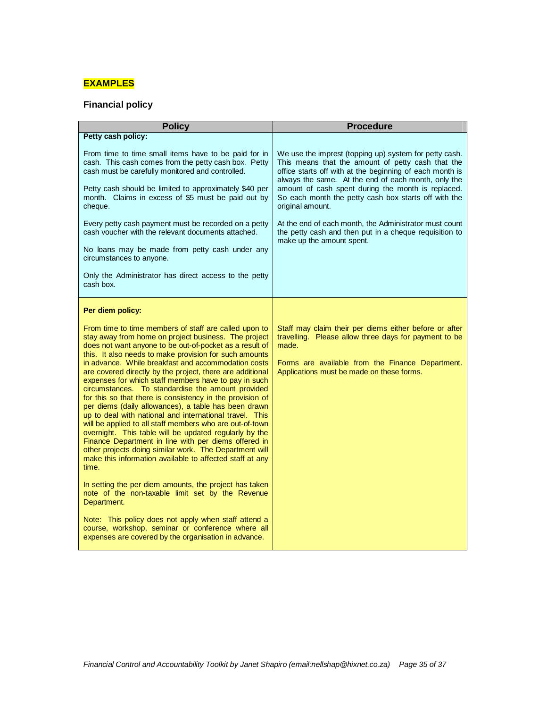### **EXAMPLES**

### **Financial policy**

| <b>Policy</b>                                                                                                                                                                                                                                                                                                                                                                                                                                                                                                                                                                                                                                                                                                                                                                                                                                                                                                                                                                                                                                                                                 | <b>Procedure</b>                                                                                                                                                                                                                                                                                                                                                 |
|-----------------------------------------------------------------------------------------------------------------------------------------------------------------------------------------------------------------------------------------------------------------------------------------------------------------------------------------------------------------------------------------------------------------------------------------------------------------------------------------------------------------------------------------------------------------------------------------------------------------------------------------------------------------------------------------------------------------------------------------------------------------------------------------------------------------------------------------------------------------------------------------------------------------------------------------------------------------------------------------------------------------------------------------------------------------------------------------------|------------------------------------------------------------------------------------------------------------------------------------------------------------------------------------------------------------------------------------------------------------------------------------------------------------------------------------------------------------------|
| Petty cash policy:                                                                                                                                                                                                                                                                                                                                                                                                                                                                                                                                                                                                                                                                                                                                                                                                                                                                                                                                                                                                                                                                            |                                                                                                                                                                                                                                                                                                                                                                  |
| From time to time small items have to be paid for in<br>cash. This cash comes from the petty cash box. Petty<br>cash must be carefully monitored and controlled.<br>Petty cash should be limited to approximately \$40 per<br>month. Claims in excess of \$5 must be paid out by<br>cheque.                                                                                                                                                                                                                                                                                                                                                                                                                                                                                                                                                                                                                                                                                                                                                                                                   | We use the imprest (topping up) system for petty cash.<br>This means that the amount of petty cash that the<br>office starts off with at the beginning of each month is<br>always the same. At the end of each month, only the<br>amount of cash spent during the month is replaced.<br>So each month the petty cash box starts off with the<br>original amount. |
| Every petty cash payment must be recorded on a petty<br>cash voucher with the relevant documents attached.<br>No loans may be made from petty cash under any<br>circumstances to anyone.                                                                                                                                                                                                                                                                                                                                                                                                                                                                                                                                                                                                                                                                                                                                                                                                                                                                                                      | At the end of each month, the Administrator must count<br>the petty cash and then put in a cheque requisition to<br>make up the amount spent.                                                                                                                                                                                                                    |
| Only the Administrator has direct access to the petty<br>cash box.                                                                                                                                                                                                                                                                                                                                                                                                                                                                                                                                                                                                                                                                                                                                                                                                                                                                                                                                                                                                                            |                                                                                                                                                                                                                                                                                                                                                                  |
| Per diem policy:                                                                                                                                                                                                                                                                                                                                                                                                                                                                                                                                                                                                                                                                                                                                                                                                                                                                                                                                                                                                                                                                              |                                                                                                                                                                                                                                                                                                                                                                  |
| From time to time members of staff are called upon to<br>stay away from home on project business. The project<br>does not want anyone to be out-of-pocket as a result of<br>this. It also needs to make provision for such amounts<br>in advance. While breakfast and accommodation costs<br>are covered directly by the project, there are additional<br>expenses for which staff members have to pay in such<br>circumstances. To standardise the amount provided<br>for this so that there is consistency in the provision of<br>per diems (daily allowances), a table has been drawn<br>up to deal with national and international travel. This<br>will be applied to all staff members who are out-of-town<br>overnight. This table will be updated regularly by the<br>Finance Department in line with per diems offered in<br>other projects doing similar work. The Department will<br>make this information available to affected staff at any<br>time.<br>In setting the per diem amounts, the project has taken<br>note of the non-taxable limit set by the Revenue<br>Department. | Staff may claim their per diems either before or after<br>travelling. Please allow three days for payment to be<br>made.<br>Forms are available from the Finance Department.<br>Applications must be made on these forms.                                                                                                                                        |
| Note: This policy does not apply when staff attend a<br>course, workshop, seminar or conference where all<br>expenses are covered by the organisation in advance.                                                                                                                                                                                                                                                                                                                                                                                                                                                                                                                                                                                                                                                                                                                                                                                                                                                                                                                             |                                                                                                                                                                                                                                                                                                                                                                  |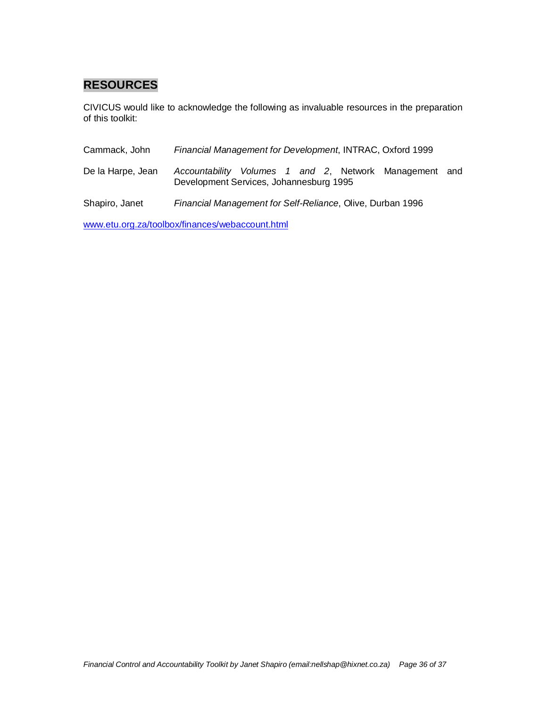# **RESOURCES**

CIVICUS would like to acknowledge the following as invaluable resources in the preparation of this toolkit:

| Cammack, John     | Financial Management for Development, INTRAC, Oxford 1999                                            |
|-------------------|------------------------------------------------------------------------------------------------------|
| De la Harpe, Jean | Accountability Volumes 1 and 2, Network Management<br>and<br>Development Services, Johannesburg 1995 |
| Shapiro, Janet    | Financial Management for Self-Reliance, Olive, Durban 1996                                           |

www.etu.org.za/toolbox/finances/webaccount.html